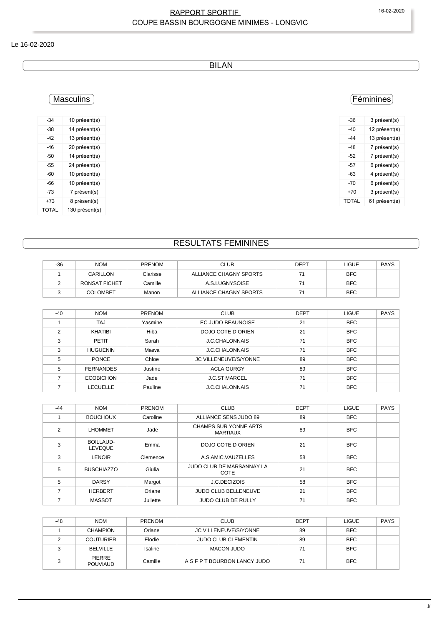#### RAPPORT SPORTIF 16-02-2020 COUPE BASSIN BOURGOGNE MINIMES - LONGVIC

#### Le 16-02-2020

BILAN

## **Masculins**

| $-34$ | 10 présent(s)  |
|-------|----------------|
| -38   | 14 présent(s)  |
| -42   | 13 présent(s)  |
| -46   | 20 présent(s)  |
| -50   | 14 présent(s)  |
| -55   | 24 présent(s)  |
| -60   | 10 présent(s)  |
| -66   | 10 présent(s)  |
| -73   | 7 présent(s)   |
| +73   | 8 présent(s)   |
| TOTAL | 130 présent(s) |

## Féminines

| -36   | 3 présent(s)  |
|-------|---------------|
| -40   | 12 présent(s) |
| -44   | 13 présent(s) |
| -48   | 7 présent(s)  |
| -52   | 7 présent(s)  |
| -57   | 6 présent(s)  |
| -63   | 4 présent(s)  |
| -70   | 6 présent(s)  |
| +70   | 3 présent(s)  |
| TOTAL | 61 présent(s) |
|       |               |

## RESULTATS FEMININES

| $-36$ | <b>NOM</b>      | <b>PRENOM</b> | <b>CLUB</b>            | DEPT | LIGUE      | <b>PAYS</b> |
|-------|-----------------|---------------|------------------------|------|------------|-------------|
|       | CARILLON        | Clarisse      | ALLIANCE CHAGNY SPORTS |      | <b>BFC</b> |             |
|       | RONSAT FICHET   | Camille       | A.S.LUGNYSOISE         |      | <b>BFC</b> |             |
|       | <b>COLOMBET</b> | Manon         | ALLIANCE CHAGNY SPORTS |      | <b>BFC</b> |             |

| $-40$         | <b>NOM</b>       | <b>PRENOM</b> | <b>CLUB</b>           | <b>DEPT</b> | <b>LIGUE</b> | <b>PAYS</b> |
|---------------|------------------|---------------|-----------------------|-------------|--------------|-------------|
|               | TAJ              | Yasmine       | EC.JUDO BEAUNOISE     | 21          | <b>BFC</b>   |             |
| $\mathcal{P}$ | <b>KHATIBI</b>   | Hiba          | DOJO COTE D ORIEN     | 21          | <b>BFC</b>   |             |
| 3             | PETIT            | Sarah         | <b>J.C.CHALONNAIS</b> | 71          | <b>BFC</b>   |             |
| 3             | <b>HUGUENIN</b>  | Maeva         | <b>J.C.CHALONNAIS</b> | 71          | <b>BFC</b>   |             |
| 5             | <b>PONCE</b>     | Chloe         | JC VILLENEUVE/S/YONNE | 89          | <b>BFC</b>   |             |
| 5             | <b>FERNANDES</b> | Justine       | <b>ACLA GURGY</b>     | 89          | <b>BFC</b>   |             |
|               | <b>ECOBICHON</b> | Jade          | <b>J.C.ST MARCEL</b>  | 71          | <b>BFC</b>   |             |
|               | LECUELLE         | Pauline       | <b>J.C.CHALONNAIS</b> | 71          | <b>BFC</b>   |             |

| $-44$ | <b>NOM</b>                         | PRENOM   | <b>CLUB</b>                                     | <b>DEPT</b> | LIGUE      | <b>PAYS</b> |
|-------|------------------------------------|----------|-------------------------------------------------|-------------|------------|-------------|
|       | <b>BOUCHOUX</b>                    | Caroline | ALLIANCE SENS JUDO 89                           | 89          | <b>BFC</b> |             |
| 2     | <b>LHOMMET</b>                     | Jade     | <b>CHAMPS SUR YONNE ARTS</b><br><b>MARTIAUX</b> | 89          | <b>BFC</b> |             |
| 3     | <b>BOILLAUD-</b><br><b>LEVEQUE</b> | Emma     | DOJO COTE D ORIEN                               | 21          | <b>BFC</b> |             |
| 3     | <b>LENOIR</b>                      | Clemence | A.S.AMIC.VAUZELLES                              | 58          | <b>BFC</b> |             |
| 5     | <b>BUSCHIAZZO</b>                  | Giulia   | JUDO CLUB DE MARSANNAY LA<br>COTE               | 21          | <b>BFC</b> |             |
| 5     | <b>DARSY</b>                       | Margot   | J.C.DECIZOIS                                    | 58          | <b>BFC</b> |             |
| 7     | <b>HERBERT</b>                     | Oriane   | <b>JUDO CLUB BELLENEUVE</b>                     | 21          | <b>BFC</b> |             |
|       | <b>MASSOT</b>                      | Juliette | <b>JUDO CLUB DE RULLY</b>                       | 71          | <b>BFC</b> |             |

| -48 | <b>NOM</b>                       | <b>PRENOM</b> | <b>CLUB</b>                  | <b>DEPT</b> | <b>LIGUE</b> | <b>PAYS</b> |
|-----|----------------------------------|---------------|------------------------------|-------------|--------------|-------------|
|     | <b>CHAMPION</b>                  | Oriane        | JC VILLENEUVE/S/YONNE        | 89          | <b>BFC</b>   |             |
|     | <b>COUTURIER</b>                 | Elodie        | <b>JUDO CLUB CLEMENTIN</b>   | 89          | <b>BFC</b>   |             |
|     | <b>BELVILLE</b>                  | Isaline       | <b>MACON JUDO</b>            | 71          | <b>BFC</b>   |             |
|     | <b>PIERRE</b><br><b>POUVIAUD</b> | Camille       | A S F P T BOURBON LANCY JUDO | 71          | <b>BFC</b>   |             |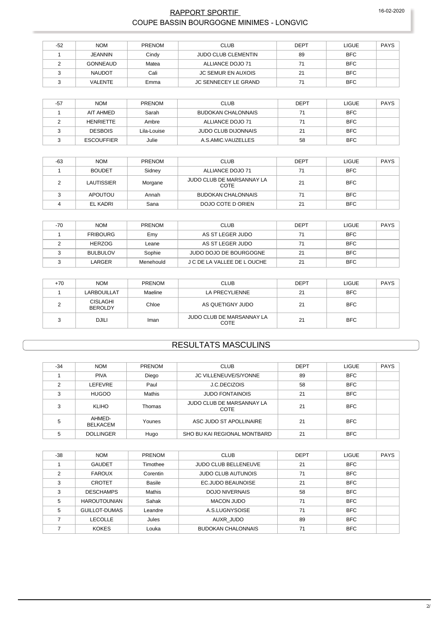#### RAPPORT SPORTIF COUPE BASSIN BOURGOGNE MINIMES - LONGVIC

| -52 | <b>NOM</b>      | <b>PRENOM</b> | <b>CLUB</b>                | <b>DEPT</b> | LIGUE      | <b>PAYS</b> |
|-----|-----------------|---------------|----------------------------|-------------|------------|-------------|
|     | <b>JEANNIN</b>  | Cindy         | <b>JUDO CLUB CLEMENTIN</b> | 89          | <b>BFC</b> |             |
|     | <b>GONNEAUD</b> | Matea         | ALLIANCE DOJO 71           | 71          | <b>BFC</b> |             |
|     | <b>NAUDOT</b>   | Cali          | JC SEMUR EN AUXOIS         | 21          | <b>BFC</b> |             |
|     | <b>VALENTE</b>  | Emma          | JC SENNECEY LE GRAND       | 71          | <b>BFC</b> |             |

| $-57$ | <b>NOM</b>        | <b>PRENOM</b> | <b>CLUB</b>                | <b>DEPT</b> | <b>LIGUE</b> | PAYS |
|-------|-------------------|---------------|----------------------------|-------------|--------------|------|
|       | AIT AHMED         | Sarah         | <b>BUDOKAN CHALONNAIS</b>  | 71          | <b>BFC</b>   |      |
|       | <b>HENRIETTE</b>  | Ambre         | ALLIANCE DOJO 71           | 71          | <b>BFC</b>   |      |
|       | <b>DESBOIS</b>    | Lila-Louise   | <b>JUDO CLUB DIJONNAIS</b> | 21          | <b>BFC</b>   |      |
|       | <b>ESCOUFFIER</b> | Julie         | A.S.AMIC.VAUZELLES         | 58          | <b>BFC</b>   |      |

| $-63$ | <b>NOM</b>    | PRENOM  | <b>CLUB</b>                       | <b>DEPT</b> | <b>LIGUE</b> | PAYS |
|-------|---------------|---------|-----------------------------------|-------------|--------------|------|
|       | <b>BOUDET</b> | Sidney  | ALLIANCE DOJO 71                  | 71          | <b>BFC</b>   |      |
|       | LAUTISSIER    | Morgane | JUDO CLUB DE MARSANNAY LA<br>COTE | 21          | <b>BFC</b>   |      |
|       | APOUTOU       | Annah   | <b>BUDOKAN CHALONNAIS</b>         | 71          | <b>BFC</b>   |      |
|       | EL KADRI      | Sana    | DOJO COTE D ORIEN                 | 21          | <b>BFC</b>   |      |

| $-70$ | <b>NOM</b>      | <b>PRENOM</b> | <b>CLUB</b>                 | DEPT | <b>LIGUE</b> | PAYS |
|-------|-----------------|---------------|-----------------------------|------|--------------|------|
|       | <b>FRIBOURG</b> | Emv           | AS ST LEGER JUDO            | 71   | <b>BFC</b>   |      |
|       | HERZOG          | Leane         | AS ST LEGER JUDO            | 71   | <b>BFC</b>   |      |
|       | <b>BULBULOV</b> | Sophie        | JUDO DOJO DE BOURGOGNE      | 21   | <b>BFC</b>   |      |
|       | LARGER          | Menehould     | J C DE LA VALLEE DE L OUCHE | 21   | <b>BFC</b>   |      |

| $+70$ | <b>NOM</b>                        | <b>PRENOM</b> | <b>CLUB</b>                       | <b>DEPT</b> | <b>LIGUE</b> | PAYS |
|-------|-----------------------------------|---------------|-----------------------------------|-------------|--------------|------|
|       | <b>LARBOUILLAT</b>                | Maeline       | LA PRECYLIENNE                    | 21          | <b>BFC</b>   |      |
|       | <b>CISLAGHI</b><br><b>BEROLDY</b> | Chloe         | AS QUETIGNY JUDO                  | 21          | <b>BFC</b>   |      |
|       | <b>DJILI</b>                      | Iman          | JUDO CLUB DE MARSANNAY LA<br>COTE | 21          | <b>BFC</b>   |      |

## **RESULTATS MASCULINS**

| $-34$ | <b>NOM</b>                | <b>PRENOM</b> | <b>CLUB</b>                              | <b>DEPT</b> | <b>LIGUE</b> | <b>PAYS</b> |
|-------|---------------------------|---------------|------------------------------------------|-------------|--------------|-------------|
|       | <b>PIVA</b>               | Diego         | <b>JC VILLENEUVE/S/YONNE</b>             | 89          | <b>BFC</b>   |             |
| ◠     | <b>LEFEVRE</b>            | Paul          | J.C.DECIZOIS                             | 58          | <b>BFC</b>   |             |
| 3     | <b>HUGOO</b>              | Mathis        | <b>JUDO FONTAINOIS</b>                   | 21          | <b>BFC</b>   |             |
| 3     | <b>KLIHO</b>              | Thomas        | JUDO CLUB DE MARSANNAY LA<br><b>COTE</b> | 21          | <b>BFC</b>   |             |
| 5     | AHMED-<br><b>BELKACEM</b> | Younes        | ASC JUDO ST APOLLINAIRE                  | 21          | <b>BFC</b>   |             |
| 5     | <b>DOLLINGER</b>          | Hugo          | SHO BU KAI REGIONAL MONTBARD             | 21          | <b>BFC</b>   |             |

| $-38$         | <b>NOM</b>          | <b>PRENOM</b> | <b>CLUB</b>                 | <b>DEPT</b> | <b>LIGUE</b> | <b>PAYS</b> |
|---------------|---------------------|---------------|-----------------------------|-------------|--------------|-------------|
|               | <b>GAUDET</b>       | Timothee      | <b>JUDO CLUB BELLENEUVE</b> | 21          | <b>BFC</b>   |             |
| $\mathcal{P}$ | <b>FAROUX</b>       | Corentin      | <b>JUDO CLUB AUTUNOIS</b>   | 71          | <b>BFC</b>   |             |
| 3             | <b>CROTET</b>       | <b>Basile</b> | EC.JUDO BEAUNOISE           | 21          | <b>BFC</b>   |             |
| 3             | <b>DESCHAMPS</b>    | Mathis        | <b>DOJO NIVERNAIS</b>       | 58          | <b>BFC</b>   |             |
| 5             | <b>HAROUTOUNIAN</b> | Sahak         | <b>MACON JUDO</b>           | 71          | <b>BFC</b>   |             |
| 5             | GUILLOT-DUMAS       | Leandre       | A.S.LUGNYSOISE              | 71          | <b>BFC</b>   |             |
|               | <b>LECOLLE</b>      | Jules         | AUXR JUDO                   | 89          | <b>BFC</b>   |             |
|               | <b>KOKES</b>        | Louka         | <b>BUDOKAN CHALONNAIS</b>   | 71          | <b>BFC</b>   |             |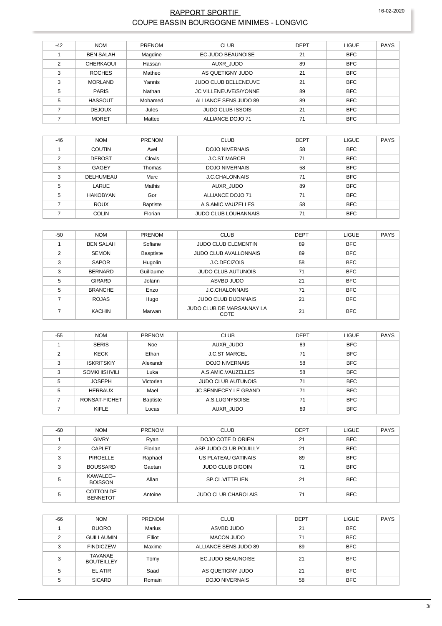#### RAPPORT SPORTIF 16-02-2020 COUPE BASSIN BOURGOGNE MINIMES - LONGVIC

| $-42$ | <b>NOM</b>       | <b>PRENOM</b> | <b>CLUB</b>                 | <b>DEPT</b> | <b>LIGUE</b> | <b>PAYS</b> |
|-------|------------------|---------------|-----------------------------|-------------|--------------|-------------|
|       | <b>BEN SALAH</b> | Magdine       | EC.JUDO BEAUNOISE           | 21          | <b>BFC</b>   |             |
| ◠     | CHERKAOUI        | Hassan        | AUXR JUDO                   | 89          | <b>BFC</b>   |             |
| 3     | <b>ROCHES</b>    | Matheo        | AS QUETIGNY JUDO            | 21          | <b>BFC</b>   |             |
| 3     | <b>MORLAND</b>   | Yannis        | <b>JUDO CLUB BELLENEUVE</b> | 21          | <b>BFC</b>   |             |
| 5     | <b>PARIS</b>     | Nathan        | JC VILLENEUVE/S/YONNE       | 89          | <b>BFC</b>   |             |
| 5     | <b>HASSOUT</b>   | Mohamed       | ALLIANCE SENS JUDO 89       | 89          | <b>BFC</b>   |             |
|       | <b>DEJOUX</b>    | Jules         | <b>JUDO CLUB ISSOIS</b>     | 21          | <b>BFC</b>   |             |
|       | <b>MORET</b>     | Matteo        | ALLIANCE DOJO 71            | 71          | <b>BFC</b>   |             |

| $-46$         | <b>NOM</b>      | <b>PRENOM</b>   | <b>CLUB</b>                 | <b>DEPT</b> | <b>LIGUE</b> | <b>PAYS</b> |
|---------------|-----------------|-----------------|-----------------------------|-------------|--------------|-------------|
|               | <b>COUTIN</b>   | Avel            | <b>DOJO NIVERNAIS</b>       | 58          | <b>BFC</b>   |             |
| $\mathcal{P}$ | <b>DEBOST</b>   | <b>Clovis</b>   | <b>J.C.ST MARCEL</b>        | 71          | <b>BFC</b>   |             |
| 3             | GAGEY           | Thomas          | <b>DOJO NIVERNAIS</b>       | 58          | <b>BFC</b>   |             |
| 3             | DELHUMEAU       | Marc            | <b>J.C.CHALONNAIS</b>       | 71          | <b>BFC</b>   |             |
| 5             | LARUE           | <b>Mathis</b>   | AUXR JUDO                   | 89          | <b>BFC</b>   |             |
| 5             | <b>HAKOBYAN</b> | Gor             | ALLIANCE DOJO 71            | 71          | <b>BFC</b>   |             |
|               | <b>ROUX</b>     | <b>Baptiste</b> | A.S.AMIC.VAUZELLES          | 58          | <b>BFC</b>   |             |
|               | <b>COLIN</b>    | Florian         | <b>JUDO CLUB LOUHANNAIS</b> | 71          | <b>BFC</b>   |             |

| $-50$ | <b>NOM</b>       | PRENOM    | <b>CLUB</b>                       | <b>DEPT</b> | <b>LIGUE</b> | <b>PAYS</b> |
|-------|------------------|-----------|-----------------------------------|-------------|--------------|-------------|
|       | <b>BEN SALAH</b> | Sofiane   | <b>JUDO CLUB CLEMENTIN</b>        | 89          | <b>BFC</b>   |             |
| 2     | <b>SEMON</b>     | Basptiste | <b>JUDO CLUB AVALLONNAIS</b>      | 89          | <b>BFC</b>   |             |
| 3     | <b>SAPOR</b>     | Hugolin   | J.C.DECIZOIS                      | 58          | <b>BFC</b>   |             |
| 3     | <b>BERNARD</b>   | Guillaume | <b>JUDO CLUB AUTUNOIS</b>         | 71          | <b>BFC</b>   |             |
| 5     | <b>GIRARD</b>    | Jolann    | ASVBD JUDO                        | 21          | <b>BFC</b>   |             |
| 5     | <b>BRANCHE</b>   | Enzo      | <b>J.C.CHALONNAIS</b>             | 71          | <b>BFC</b>   |             |
|       | <b>ROJAS</b>     | Hugo      | <b>JUDO CLUB DIJONNAIS</b>        | 21          | <b>BFC</b>   |             |
|       | <b>KACHIN</b>    | Marwan    | JUDO CLUB DE MARSANNAY LA<br>COTE | 21          | <b>BFC</b>   |             |

| -55 | <b>NOM</b>          | <b>PRENOM</b>   | <b>CLUB</b>                 | <b>DEPT</b> | <b>LIGUE</b> | <b>PAYS</b> |
|-----|---------------------|-----------------|-----------------------------|-------------|--------------|-------------|
|     | <b>SERIS</b>        | <b>Noe</b>      | AUXR JUDO                   | 89          | <b>BFC</b>   |             |
| 2   | <b>KECK</b>         | Ethan           | <b>J.C.ST MARCEL</b>        | 71          | <b>BFC</b>   |             |
| 3   | <b>ISKRITSKIY</b>   | Alexandr        | <b>DOJO NIVERNAIS</b>       | 58          | <b>BFC</b>   |             |
| 3   | <b>SOMKHISHVILI</b> | Luka            | A.S.AMIC.VAUZELLES          | 58          | <b>BFC</b>   |             |
| 5   | <b>JOSEPH</b>       | Victorien       | <b>JUDO CLUB AUTUNOIS</b>   | 71          | <b>BFC</b>   |             |
| 5   | <b>HERBAUX</b>      | Mael            | <b>JC SENNECEY LE GRAND</b> | 71          | <b>BFC</b>   |             |
|     | RONSAT-FICHET       | <b>Baptiste</b> | A.S.LUGNYSOISE              | 71          | <b>BFC</b>   |             |
|     | KIFLE               | Lucas           | AUXR JUDO                   | 89          | <b>BFC</b>   |             |

| $-60$ | <b>NOM</b>                          | <b>PRENOM</b> | <b>CLUB</b>                | <b>DEPT</b> | <b>LIGUE</b> | <b>PAYS</b> |
|-------|-------------------------------------|---------------|----------------------------|-------------|--------------|-------------|
|       | <b>GIVRY</b>                        | Ryan          | DOJO COTE D ORIEN          | 21          | <b>BFC</b>   |             |
| C     | CAPLET                              | Florian       | ASP JUDO CLUB POUILLY      | 21          | <b>BFC</b>   |             |
| 3     | <b>PIROELLE</b>                     | Raphael       | US PLATEAU GATINAIS        | 89          | <b>BFC</b>   |             |
| 3     | <b>BOUSSARD</b>                     | Gaetan        | <b>JUDO CLUB DIGOIN</b>    | 71          | <b>BFC</b>   |             |
| 5     | KAWALEC--<br><b>BOISSON</b>         | Allan         | SP.CL.VITTELIEN            | 21          | <b>BFC</b>   |             |
| 5     | <b>COTTON DE</b><br><b>BENNETOT</b> | Antoine       | <b>JUDO CLUB CHAROLAIS</b> | 71          | <b>BFC</b>   |             |

| -66 | <b>NOM</b>                   | <b>PRENOM</b> | <b>CLUB</b>           | <b>DEPT</b> | <b>LIGUE</b> | <b>PAYS</b> |
|-----|------------------------------|---------------|-----------------------|-------------|--------------|-------------|
|     | <b>BUORO</b>                 | <b>Marius</b> | ASVBD JUDO            | 21          | <b>BFC</b>   |             |
| ◠   | <b>GUILLAUMIN</b>            | Elliot        | <b>MACON JUDO</b>     | 71          | <b>BFC</b>   |             |
| 3   | <b>FINDICZEW</b>             | Maxime        | ALLIANCE SENS JUDO 89 | 89          | <b>BFC</b>   |             |
| 3   | TAVANAE<br><b>BOUTEILLEY</b> | Tomy          | EC.JUDO BEAUNOISE     | 21          | <b>BFC</b>   |             |
| 5   | EL ATIR                      | Saad          | AS QUETIGNY JUDO      | 21          | <b>BFC</b>   |             |
| 5   | <b>SICARD</b>                | Romain        | <b>DOJO NIVERNAIS</b> | 58          | <b>BFC</b>   |             |